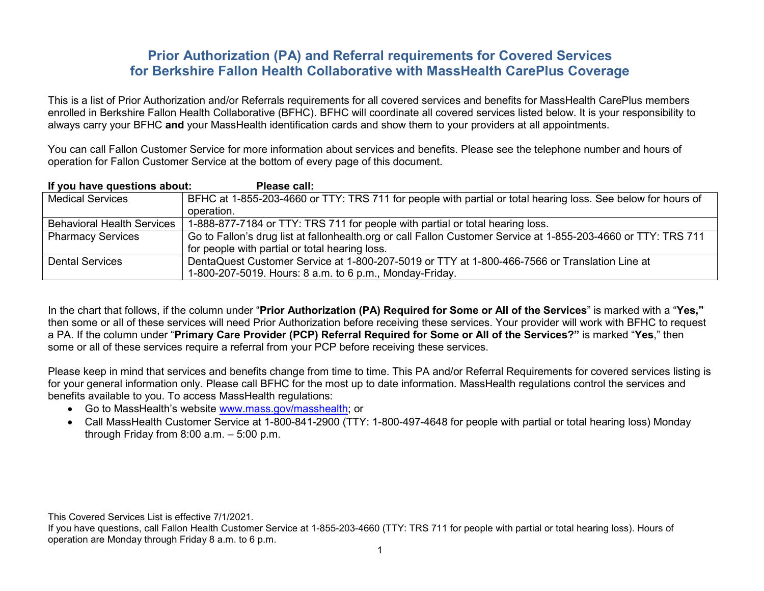# **Prior Authorization (PA) and Referral requirements for Covered Services for Berkshire Fallon Health Collaborative with MassHealth CarePlus Coverage**

This is a list of Prior Authorization and/or Referrals requirements for all covered services and benefits for MassHealth CarePlus members enrolled in Berkshire Fallon Health Collaborative (BFHC). BFHC will coordinate all covered services listed below. It is your responsibility to always carry your BFHC **and** your MassHealth identification cards and show them to your providers at all appointments.

You can call Fallon Customer Service for more information about services and benefits. Please see the telephone number and hours of operation for Fallon Customer Service at the bottom of every page of this document.

| If you have questions about:      | Please call:                                                                                                   |
|-----------------------------------|----------------------------------------------------------------------------------------------------------------|
| <b>Medical Services</b>           | BFHC at 1-855-203-4660 or TTY: TRS 711 for people with partial or total hearing loss. See below for hours of   |
|                                   | operation.                                                                                                     |
| <b>Behavioral Health Services</b> | 1-888-877-7184 or TTY: TRS 711 for people with partial or total hearing loss.                                  |
| <b>Pharmacy Services</b>          | Go to Fallon's drug list at fallonhealth.org or call Fallon Customer Service at 1-855-203-4660 or TTY: TRS 711 |
|                                   | for people with partial or total hearing loss.                                                                 |
| Dental Services                   | DentaQuest Customer Service at 1-800-207-5019 or TTY at 1-800-466-7566 or Translation Line at                  |
|                                   | 1-800-207-5019. Hours: 8 a.m. to 6 p.m., Monday-Friday.                                                        |

In the chart that follows, if the column under "**Prior Authorization (PA) Required for Some or All of the Services**" is marked with a "**Yes,"**  then some or all of these services will need Prior Authorization before receiving these services. Your provider will work with BFHC to request a PA. If the column under "**Primary Care Provider (PCP) Referral Required for Some or All of the Services?"** is marked "**Yes**," then some or all of these services require a referral from your PCP before receiving these services.

Please keep in mind that services and benefits change from time to time. This PA and/or Referral Requirements for covered services listing is for your general information only. Please call BFHC for the most up to date information. MassHealth regulations control the services and benefits available to you. To access MassHealth regulations:

- Go to MassHealth's website [www.mass.gov/masshealth;](http://www.mass.gov/masshealth) or
- Call MassHealth Customer Service at 1-800-841-2900 (TTY: 1-800-497-4648 for people with partial or total hearing loss) Monday through Friday from 8:00 a.m. – 5:00 p.m.

This Covered Services List is effective 7/1/2021.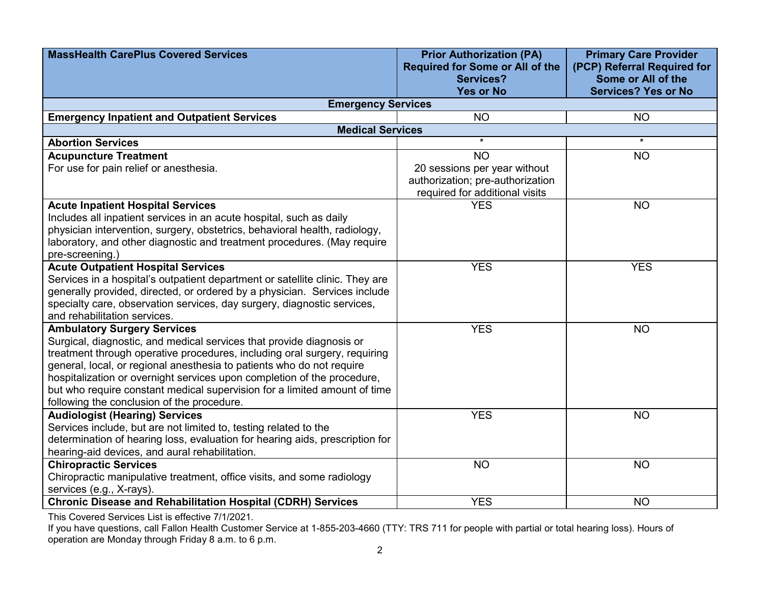| <b>MassHealth CarePlus Covered Services</b>                                                             | <b>Prior Authorization (PA)</b><br><b>Required for Some or All of the</b>                          | <b>Primary Care Provider</b><br>(PCP) Referral Required for |
|---------------------------------------------------------------------------------------------------------|----------------------------------------------------------------------------------------------------|-------------------------------------------------------------|
|                                                                                                         | Services?<br><b>Yes or No</b>                                                                      | Some or All of the<br><b>Services? Yes or No</b>            |
| <b>Emergency Services</b>                                                                               |                                                                                                    |                                                             |
| <b>Emergency Inpatient and Outpatient Services</b>                                                      | <b>NO</b>                                                                                          | <b>NO</b>                                                   |
| <b>Medical Services</b>                                                                                 |                                                                                                    |                                                             |
| <b>Abortion Services</b>                                                                                | $\star$                                                                                            | $\star$                                                     |
| <b>Acupuncture Treatment</b>                                                                            | <b>NO</b>                                                                                          | <b>NO</b>                                                   |
| For use for pain relief or anesthesia.                                                                  | 20 sessions per year without<br>authorization; pre-authorization<br>required for additional visits |                                                             |
| <b>Acute Inpatient Hospital Services</b>                                                                | <b>YES</b>                                                                                         | <b>NO</b>                                                   |
| Includes all inpatient services in an acute hospital, such as daily                                     |                                                                                                    |                                                             |
| physician intervention, surgery, obstetrics, behavioral health, radiology,                              |                                                                                                    |                                                             |
| laboratory, and other diagnostic and treatment procedures. (May require                                 |                                                                                                    |                                                             |
| pre-screening.)                                                                                         |                                                                                                    |                                                             |
| <b>Acute Outpatient Hospital Services</b>                                                               | <b>YES</b>                                                                                         | <b>YES</b>                                                  |
| Services in a hospital's outpatient department or satellite clinic. They are                            |                                                                                                    |                                                             |
| generally provided, directed, or ordered by a physician. Services include                               |                                                                                                    |                                                             |
| specialty care, observation services, day surgery, diagnostic services,<br>and rehabilitation services. |                                                                                                    |                                                             |
| <b>Ambulatory Surgery Services</b>                                                                      | <b>YES</b>                                                                                         | <b>NO</b>                                                   |
| Surgical, diagnostic, and medical services that provide diagnosis or                                    |                                                                                                    |                                                             |
| treatment through operative procedures, including oral surgery, requiring                               |                                                                                                    |                                                             |
| general, local, or regional anesthesia to patients who do not require                                   |                                                                                                    |                                                             |
| hospitalization or overnight services upon completion of the procedure,                                 |                                                                                                    |                                                             |
| but who require constant medical supervision for a limited amount of time                               |                                                                                                    |                                                             |
| following the conclusion of the procedure.                                                              |                                                                                                    |                                                             |
| <b>Audiologist (Hearing) Services</b>                                                                   | <b>YES</b>                                                                                         | <b>NO</b>                                                   |
| Services include, but are not limited to, testing related to the                                        |                                                                                                    |                                                             |
| determination of hearing loss, evaluation for hearing aids, prescription for                            |                                                                                                    |                                                             |
| hearing-aid devices, and aural rehabilitation.                                                          |                                                                                                    |                                                             |
| <b>Chiropractic Services</b>                                                                            | <b>NO</b>                                                                                          | <b>NO</b>                                                   |
| Chiropractic manipulative treatment, office visits, and some radiology                                  |                                                                                                    |                                                             |
| services (e.g., X-rays).                                                                                |                                                                                                    |                                                             |
| <b>Chronic Disease and Rehabilitation Hospital (CDRH) Services</b>                                      | <b>YES</b>                                                                                         | <b>NO</b>                                                   |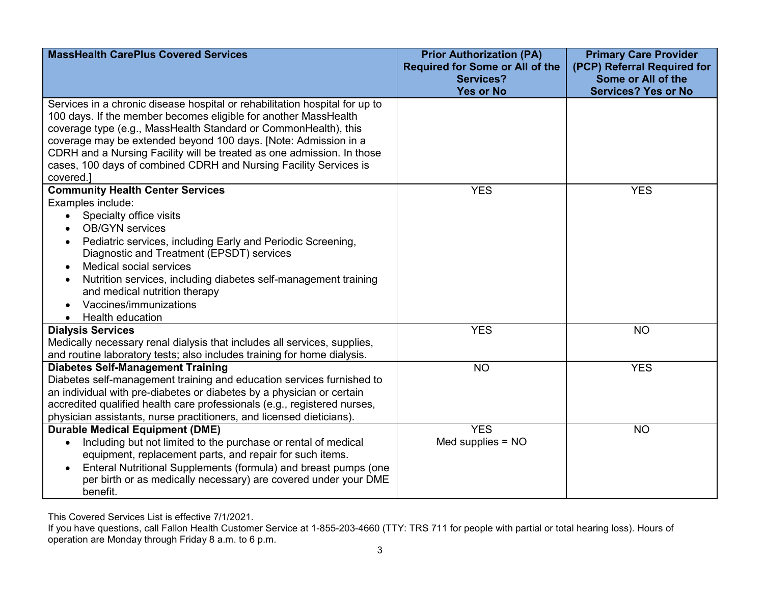| <b>MassHealth CarePlus Covered Services</b>                                                                                                                                                                                                                                                                                                                                                                                                                                                                           | <b>Prior Authorization (PA)</b><br><b>Required for Some or All of the</b><br><b>Services?</b> | <b>Primary Care Provider</b><br>(PCP) Referral Required for<br>Some or All of the |
|-----------------------------------------------------------------------------------------------------------------------------------------------------------------------------------------------------------------------------------------------------------------------------------------------------------------------------------------------------------------------------------------------------------------------------------------------------------------------------------------------------------------------|-----------------------------------------------------------------------------------------------|-----------------------------------------------------------------------------------|
|                                                                                                                                                                                                                                                                                                                                                                                                                                                                                                                       | <b>Yes or No</b>                                                                              | <b>Services? Yes or No</b>                                                        |
| Services in a chronic disease hospital or rehabilitation hospital for up to<br>100 days. If the member becomes eligible for another MassHealth<br>coverage type (e.g., MassHealth Standard or CommonHealth), this<br>coverage may be extended beyond 100 days. [Note: Admission in a<br>CDRH and a Nursing Facility will be treated as one admission. In those<br>cases, 100 days of combined CDRH and Nursing Facility Services is<br>covered.]                                                                      |                                                                                               |                                                                                   |
| <b>Community Health Center Services</b>                                                                                                                                                                                                                                                                                                                                                                                                                                                                               | <b>YES</b>                                                                                    | <b>YES</b>                                                                        |
| Examples include:<br>Specialty office visits<br>$\bullet$<br><b>OB/GYN</b> services<br>Pediatric services, including Early and Periodic Screening,<br>$\bullet$<br>Diagnostic and Treatment (EPSDT) services<br>Medical social services<br>$\bullet$<br>Nutrition services, including diabetes self-management training<br>and medical nutrition therapy<br>Vaccines/immunizations<br><b>Health education</b><br><b>Dialysis Services</b><br>Medically necessary renal dialysis that includes all services, supplies, | <b>YES</b>                                                                                    | <b>NO</b>                                                                         |
| and routine laboratory tests; also includes training for home dialysis.<br><b>Diabetes Self-Management Training</b>                                                                                                                                                                                                                                                                                                                                                                                                   | <b>NO</b>                                                                                     | <b>YES</b>                                                                        |
| Diabetes self-management training and education services furnished to<br>an individual with pre-diabetes or diabetes by a physician or certain<br>accredited qualified health care professionals (e.g., registered nurses,<br>physician assistants, nurse practitioners, and licensed dieticians).                                                                                                                                                                                                                    |                                                                                               |                                                                                   |
| <b>Durable Medical Equipment (DME)</b><br>Including but not limited to the purchase or rental of medical<br>$\bullet$<br>equipment, replacement parts, and repair for such items.<br>Enteral Nutritional Supplements (formula) and breast pumps (one<br>$\bullet$<br>per birth or as medically necessary) are covered under your DME<br>benefit.                                                                                                                                                                      | <b>YES</b><br>Med supplies $= NO$                                                             | <b>NO</b>                                                                         |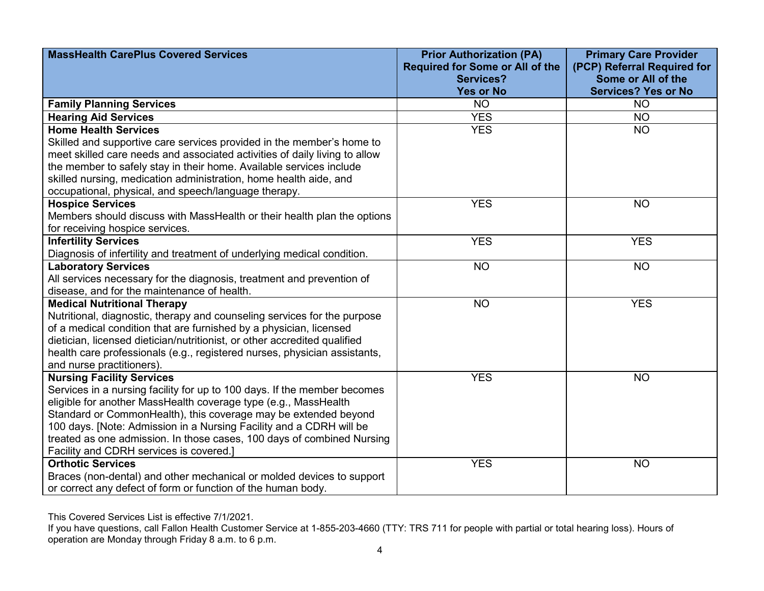| <b>MassHealth CarePlus Covered Services</b>                                | <b>Prior Authorization (PA)</b>                            | <b>Primary Care Provider</b>                      |
|----------------------------------------------------------------------------|------------------------------------------------------------|---------------------------------------------------|
|                                                                            | <b>Required for Some or All of the</b><br><b>Services?</b> | (PCP) Referral Required for<br>Some or All of the |
|                                                                            | <b>Yes or No</b>                                           | <b>Services? Yes or No</b>                        |
| <b>Family Planning Services</b>                                            | <b>NO</b>                                                  | <b>NO</b>                                         |
| <b>Hearing Aid Services</b>                                                | <b>YES</b>                                                 | <b>NO</b>                                         |
| <b>Home Health Services</b>                                                | <b>YES</b>                                                 | <b>NO</b>                                         |
| Skilled and supportive care services provided in the member's home to      |                                                            |                                                   |
| meet skilled care needs and associated activities of daily living to allow |                                                            |                                                   |
| the member to safely stay in their home. Available services include        |                                                            |                                                   |
| skilled nursing, medication administration, home health aide, and          |                                                            |                                                   |
| occupational, physical, and speech/language therapy.                       |                                                            |                                                   |
| <b>Hospice Services</b>                                                    | <b>YES</b>                                                 | <b>NO</b>                                         |
| Members should discuss with MassHealth or their health plan the options    |                                                            |                                                   |
| for receiving hospice services.                                            |                                                            |                                                   |
| <b>Infertility Services</b>                                                | <b>YES</b>                                                 | <b>YES</b>                                        |
| Diagnosis of infertility and treatment of underlying medical condition.    |                                                            |                                                   |
| <b>Laboratory Services</b>                                                 | <b>NO</b>                                                  | <b>NO</b>                                         |
| All services necessary for the diagnosis, treatment and prevention of      |                                                            |                                                   |
| disease, and for the maintenance of health.                                |                                                            |                                                   |
| <b>Medical Nutritional Therapy</b>                                         | <b>NO</b>                                                  | <b>YES</b>                                        |
| Nutritional, diagnostic, therapy and counseling services for the purpose   |                                                            |                                                   |
| of a medical condition that are furnished by a physician, licensed         |                                                            |                                                   |
| dietician, licensed dietician/nutritionist, or other accredited qualified  |                                                            |                                                   |
| health care professionals (e.g., registered nurses, physician assistants,  |                                                            |                                                   |
| and nurse practitioners).                                                  |                                                            |                                                   |
| <b>Nursing Facility Services</b>                                           | <b>YES</b>                                                 | <b>NO</b>                                         |
| Services in a nursing facility for up to 100 days. If the member becomes   |                                                            |                                                   |
| eligible for another MassHealth coverage type (e.g., MassHealth            |                                                            |                                                   |
| Standard or CommonHealth), this coverage may be extended beyond            |                                                            |                                                   |
| 100 days. [Note: Admission in a Nursing Facility and a CDRH will be        |                                                            |                                                   |
| treated as one admission. In those cases, 100 days of combined Nursing     |                                                            |                                                   |
| Facility and CDRH services is covered.]                                    |                                                            |                                                   |
| <b>Orthotic Services</b>                                                   | <b>YES</b>                                                 | <b>NO</b>                                         |
| Braces (non-dental) and other mechanical or molded devices to support      |                                                            |                                                   |
| or correct any defect of form or function of the human body.               |                                                            |                                                   |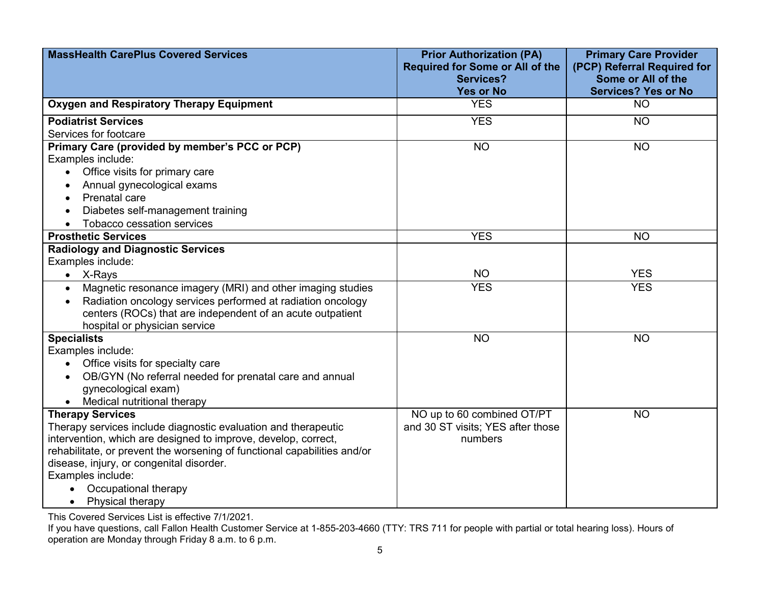| <b>MassHealth CarePlus Covered Services</b>                              | <b>Prior Authorization (PA)</b><br><b>Required for Some or All of the</b> | <b>Primary Care Provider</b><br>(PCP) Referral Required for |
|--------------------------------------------------------------------------|---------------------------------------------------------------------------|-------------------------------------------------------------|
|                                                                          | <b>Services?</b><br><b>Yes or No</b>                                      | Some or All of the<br><b>Services? Yes or No</b>            |
| Oxygen and Respiratory Therapy Equipment                                 | <b>YES</b>                                                                | <b>NO</b>                                                   |
| <b>Podiatrist Services</b>                                               | <b>YES</b>                                                                | <b>NO</b>                                                   |
| Services for footcare                                                    |                                                                           |                                                             |
| Primary Care (provided by member's PCC or PCP)                           | <b>NO</b>                                                                 | <b>NO</b>                                                   |
| Examples include:                                                        |                                                                           |                                                             |
| Office visits for primary care                                           |                                                                           |                                                             |
| Annual gynecological exams                                               |                                                                           |                                                             |
| Prenatal care                                                            |                                                                           |                                                             |
| Diabetes self-management training                                        |                                                                           |                                                             |
| Tobacco cessation services                                               |                                                                           |                                                             |
| <b>Prosthetic Services</b>                                               | <b>YES</b>                                                                | <b>NO</b>                                                   |
| <b>Radiology and Diagnostic Services</b>                                 |                                                                           |                                                             |
| Examples include:                                                        |                                                                           |                                                             |
| $\bullet$ X-Rays                                                         | <b>NO</b>                                                                 | <b>YES</b>                                                  |
| Magnetic resonance imagery (MRI) and other imaging studies<br>$\bullet$  | <b>YES</b>                                                                | <b>YES</b>                                                  |
| Radiation oncology services performed at radiation oncology<br>$\bullet$ |                                                                           |                                                             |
| centers (ROCs) that are independent of an acute outpatient               |                                                                           |                                                             |
| hospital or physician service                                            |                                                                           |                                                             |
| <b>Specialists</b>                                                       | <b>NO</b>                                                                 | <b>NO</b>                                                   |
| Examples include:                                                        |                                                                           |                                                             |
| Office visits for specialty care                                         |                                                                           |                                                             |
| OB/GYN (No referral needed for prenatal care and annual<br>$\bullet$     |                                                                           |                                                             |
| gynecological exam)                                                      |                                                                           |                                                             |
| Medical nutritional therapy                                              |                                                                           |                                                             |
| <b>Therapy Services</b>                                                  | NO up to 60 combined OT/PT                                                | <b>NO</b>                                                   |
| Therapy services include diagnostic evaluation and therapeutic           | and 30 ST visits; YES after those                                         |                                                             |
| intervention, which are designed to improve, develop, correct,           | numbers                                                                   |                                                             |
| rehabilitate, or prevent the worsening of functional capabilities and/or |                                                                           |                                                             |
| disease, injury, or congenital disorder.                                 |                                                                           |                                                             |
| Examples include:                                                        |                                                                           |                                                             |
| Occupational therapy                                                     |                                                                           |                                                             |
| Physical therapy<br>$\bullet$                                            |                                                                           |                                                             |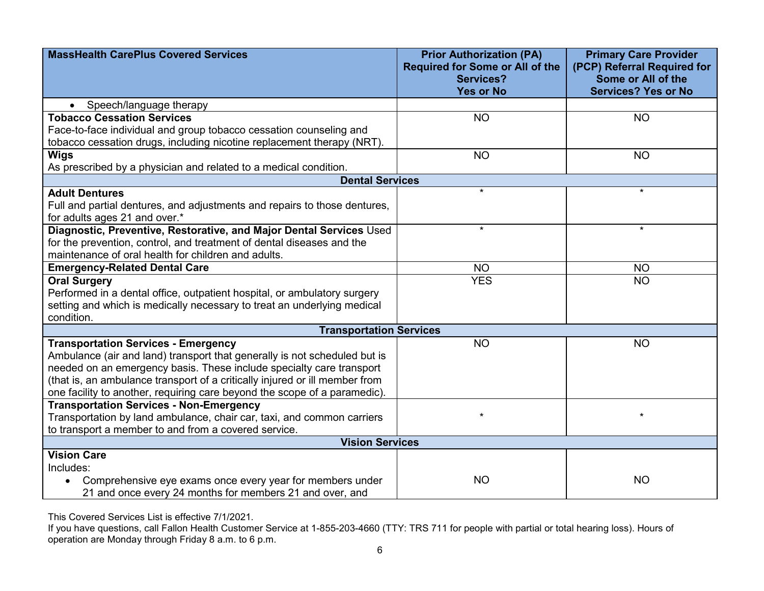| <b>MassHealth CarePlus Covered Services</b>                                    | <b>Prior Authorization (PA)</b><br><b>Required for Some or All of the</b> | <b>Primary Care Provider</b><br>(PCP) Referral Required for |
|--------------------------------------------------------------------------------|---------------------------------------------------------------------------|-------------------------------------------------------------|
|                                                                                | <b>Services?</b>                                                          | Some or All of the                                          |
|                                                                                | <b>Yes or No</b>                                                          | <b>Services? Yes or No</b>                                  |
| Speech/language therapy<br>$\bullet$                                           |                                                                           |                                                             |
| <b>Tobacco Cessation Services</b>                                              | <b>NO</b>                                                                 | <b>NO</b>                                                   |
| Face-to-face individual and group tobacco cessation counseling and             |                                                                           |                                                             |
| tobacco cessation drugs, including nicotine replacement therapy (NRT).         |                                                                           |                                                             |
| <b>Wigs</b>                                                                    | <b>NO</b>                                                                 | <b>NO</b>                                                   |
| As prescribed by a physician and related to a medical condition.               |                                                                           |                                                             |
| <b>Dental Services</b>                                                         |                                                                           |                                                             |
| <b>Adult Dentures</b>                                                          | $\star$                                                                   | $\star$                                                     |
| Full and partial dentures, and adjustments and repairs to those dentures,      |                                                                           |                                                             |
| for adults ages 21 and over.*                                                  |                                                                           |                                                             |
| Diagnostic, Preventive, Restorative, and Major Dental Services Used            | $\star$                                                                   | $\star$                                                     |
| for the prevention, control, and treatment of dental diseases and the          |                                                                           |                                                             |
| maintenance of oral health for children and adults.                            |                                                                           |                                                             |
| <b>Emergency-Related Dental Care</b>                                           | <b>NO</b>                                                                 | <b>NO</b>                                                   |
| <b>Oral Surgery</b>                                                            | <b>YES</b>                                                                | <b>NO</b>                                                   |
| Performed in a dental office, outpatient hospital, or ambulatory surgery       |                                                                           |                                                             |
| setting and which is medically necessary to treat an underlying medical        |                                                                           |                                                             |
| condition.                                                                     |                                                                           |                                                             |
| <b>Transportation Services</b>                                                 |                                                                           |                                                             |
| <b>Transportation Services - Emergency</b>                                     | <b>NO</b>                                                                 | <b>NO</b>                                                   |
| Ambulance (air and land) transport that generally is not scheduled but is      |                                                                           |                                                             |
| needed on an emergency basis. These include specialty care transport           |                                                                           |                                                             |
| (that is, an ambulance transport of a critically injured or ill member from    |                                                                           |                                                             |
| one facility to another, requiring care beyond the scope of a paramedic).      |                                                                           |                                                             |
| <b>Transportation Services - Non-Emergency</b>                                 | $\star$                                                                   | $\star$                                                     |
| Transportation by land ambulance, chair car, taxi, and common carriers         |                                                                           |                                                             |
| to transport a member to and from a covered service.<br><b>Vision Services</b> |                                                                           |                                                             |
| <b>Vision Care</b>                                                             |                                                                           |                                                             |
| Includes:                                                                      |                                                                           |                                                             |
| Comprehensive eye exams once every year for members under                      | <b>NO</b>                                                                 | <b>NO</b>                                                   |
| 21 and once every 24 months for members 21 and over, and                       |                                                                           |                                                             |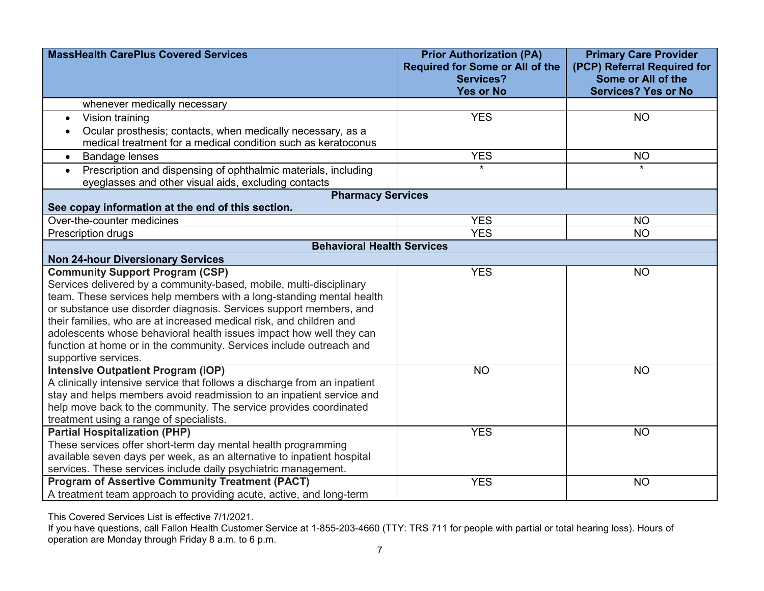| <b>MassHealth CarePlus Covered Services</b>                                                                                                                                                                                                                                                                                                                                                                                                                                                              | <b>Prior Authorization (PA)</b><br><b>Required for Some or All of the</b><br><b>Services?</b><br><b>Yes or No</b> | <b>Primary Care Provider</b><br>(PCP) Referral Required for<br>Some or All of the<br><b>Services? Yes or No</b> |  |
|----------------------------------------------------------------------------------------------------------------------------------------------------------------------------------------------------------------------------------------------------------------------------------------------------------------------------------------------------------------------------------------------------------------------------------------------------------------------------------------------------------|-------------------------------------------------------------------------------------------------------------------|-----------------------------------------------------------------------------------------------------------------|--|
| whenever medically necessary                                                                                                                                                                                                                                                                                                                                                                                                                                                                             |                                                                                                                   |                                                                                                                 |  |
| Vision training<br>$\bullet$                                                                                                                                                                                                                                                                                                                                                                                                                                                                             | <b>YES</b>                                                                                                        | <b>NO</b>                                                                                                       |  |
| Ocular prosthesis; contacts, when medically necessary, as a<br>medical treatment for a medical condition such as keratoconus                                                                                                                                                                                                                                                                                                                                                                             |                                                                                                                   |                                                                                                                 |  |
| <b>Bandage lenses</b><br>$\bullet$                                                                                                                                                                                                                                                                                                                                                                                                                                                                       | <b>YES</b>                                                                                                        | <b>NO</b>                                                                                                       |  |
| Prescription and dispensing of ophthalmic materials, including<br>$\bullet$<br>eyeglasses and other visual aids, excluding contacts                                                                                                                                                                                                                                                                                                                                                                      | $\star$                                                                                                           | $\star$                                                                                                         |  |
| <b>Pharmacy Services</b>                                                                                                                                                                                                                                                                                                                                                                                                                                                                                 |                                                                                                                   |                                                                                                                 |  |
| See copay information at the end of this section.                                                                                                                                                                                                                                                                                                                                                                                                                                                        |                                                                                                                   |                                                                                                                 |  |
| Over-the-counter medicines                                                                                                                                                                                                                                                                                                                                                                                                                                                                               | <b>YES</b>                                                                                                        | <b>NO</b>                                                                                                       |  |
| Prescription drugs                                                                                                                                                                                                                                                                                                                                                                                                                                                                                       | <b>YES</b>                                                                                                        | <b>NO</b>                                                                                                       |  |
| <b>Behavioral Health Services</b>                                                                                                                                                                                                                                                                                                                                                                                                                                                                        |                                                                                                                   |                                                                                                                 |  |
| <b>Non 24-hour Diversionary Services</b>                                                                                                                                                                                                                                                                                                                                                                                                                                                                 |                                                                                                                   |                                                                                                                 |  |
| <b>Community Support Program (CSP)</b><br>Services delivered by a community-based, mobile, multi-disciplinary<br>team. These services help members with a long-standing mental health<br>or substance use disorder diagnosis. Services support members, and<br>their families, who are at increased medical risk, and children and<br>adolescents whose behavioral health issues impact how well they can<br>function at home or in the community. Services include outreach and<br>supportive services. | <b>YES</b>                                                                                                        | <b>NO</b>                                                                                                       |  |
| <b>Intensive Outpatient Program (IOP)</b><br>A clinically intensive service that follows a discharge from an inpatient<br>stay and helps members avoid readmission to an inpatient service and<br>help move back to the community. The service provides coordinated<br>treatment using a range of specialists.                                                                                                                                                                                           | <b>NO</b>                                                                                                         | <b>NO</b>                                                                                                       |  |
| <b>Partial Hospitalization (PHP)</b>                                                                                                                                                                                                                                                                                                                                                                                                                                                                     | <b>YES</b>                                                                                                        | <b>NO</b>                                                                                                       |  |
| These services offer short-term day mental health programming                                                                                                                                                                                                                                                                                                                                                                                                                                            |                                                                                                                   |                                                                                                                 |  |
| available seven days per week, as an alternative to inpatient hospital                                                                                                                                                                                                                                                                                                                                                                                                                                   |                                                                                                                   |                                                                                                                 |  |
| services. These services include daily psychiatric management.                                                                                                                                                                                                                                                                                                                                                                                                                                           |                                                                                                                   |                                                                                                                 |  |
| <b>Program of Assertive Community Treatment (PACT)</b><br>A treatment team approach to providing acute, active, and long-term                                                                                                                                                                                                                                                                                                                                                                            | <b>YES</b>                                                                                                        | <b>NO</b>                                                                                                       |  |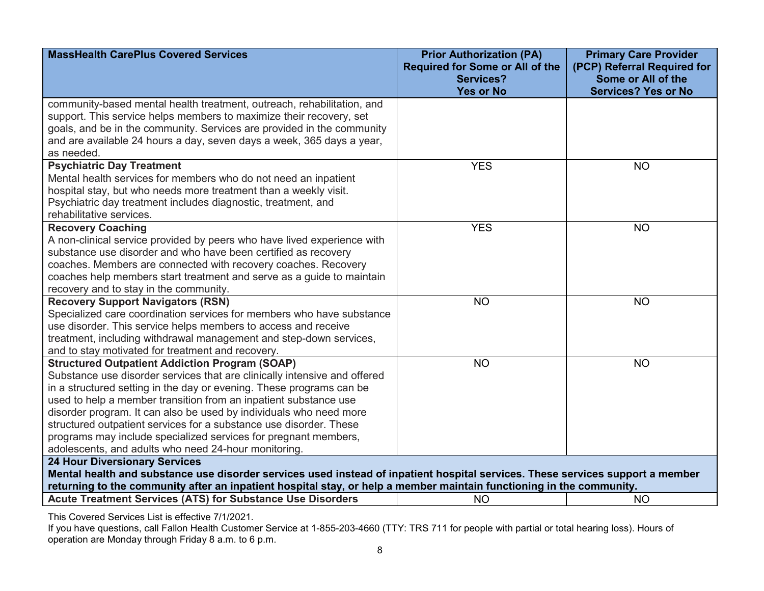| <b>MassHealth CarePlus Covered Services</b>                                                                                                                                                                                                                                                                                                                 | <b>Prior Authorization (PA)</b><br><b>Required for Some or All of the</b> | <b>Primary Care Provider</b><br>(PCP) Referral Required for |  |
|-------------------------------------------------------------------------------------------------------------------------------------------------------------------------------------------------------------------------------------------------------------------------------------------------------------------------------------------------------------|---------------------------------------------------------------------------|-------------------------------------------------------------|--|
|                                                                                                                                                                                                                                                                                                                                                             | <b>Services?</b>                                                          | Some or All of the                                          |  |
|                                                                                                                                                                                                                                                                                                                                                             | <b>Yes or No</b>                                                          | <b>Services? Yes or No</b>                                  |  |
| community-based mental health treatment, outreach, rehabilitation, and                                                                                                                                                                                                                                                                                      |                                                                           |                                                             |  |
| support. This service helps members to maximize their recovery, set                                                                                                                                                                                                                                                                                         |                                                                           |                                                             |  |
| goals, and be in the community. Services are provided in the community                                                                                                                                                                                                                                                                                      |                                                                           |                                                             |  |
| and are available 24 hours a day, seven days a week, 365 days a year,                                                                                                                                                                                                                                                                                       |                                                                           |                                                             |  |
| as needed.                                                                                                                                                                                                                                                                                                                                                  |                                                                           |                                                             |  |
| <b>Psychiatric Day Treatment</b>                                                                                                                                                                                                                                                                                                                            | <b>YES</b>                                                                | <b>NO</b>                                                   |  |
| Mental health services for members who do not need an inpatient                                                                                                                                                                                                                                                                                             |                                                                           |                                                             |  |
| hospital stay, but who needs more treatment than a weekly visit.                                                                                                                                                                                                                                                                                            |                                                                           |                                                             |  |
| Psychiatric day treatment includes diagnostic, treatment, and                                                                                                                                                                                                                                                                                               |                                                                           |                                                             |  |
| rehabilitative services.                                                                                                                                                                                                                                                                                                                                    |                                                                           |                                                             |  |
| <b>Recovery Coaching</b><br>A non-clinical service provided by peers who have lived experience with                                                                                                                                                                                                                                                         | <b>YES</b>                                                                | <b>NO</b>                                                   |  |
| substance use disorder and who have been certified as recovery                                                                                                                                                                                                                                                                                              |                                                                           |                                                             |  |
| coaches. Members are connected with recovery coaches. Recovery                                                                                                                                                                                                                                                                                              |                                                                           |                                                             |  |
| coaches help members start treatment and serve as a guide to maintain                                                                                                                                                                                                                                                                                       |                                                                           |                                                             |  |
| recovery and to stay in the community.                                                                                                                                                                                                                                                                                                                      |                                                                           |                                                             |  |
| <b>Recovery Support Navigators (RSN)</b>                                                                                                                                                                                                                                                                                                                    | <b>NO</b>                                                                 | <b>NO</b>                                                   |  |
| Specialized care coordination services for members who have substance                                                                                                                                                                                                                                                                                       |                                                                           |                                                             |  |
| use disorder. This service helps members to access and receive                                                                                                                                                                                                                                                                                              |                                                                           |                                                             |  |
| treatment, including withdrawal management and step-down services,                                                                                                                                                                                                                                                                                          |                                                                           |                                                             |  |
| and to stay motivated for treatment and recovery.                                                                                                                                                                                                                                                                                                           |                                                                           |                                                             |  |
| <b>Structured Outpatient Addiction Program (SOAP)</b>                                                                                                                                                                                                                                                                                                       | <b>NO</b>                                                                 | <b>NO</b>                                                   |  |
| Substance use disorder services that are clinically intensive and offered                                                                                                                                                                                                                                                                                   |                                                                           |                                                             |  |
| in a structured setting in the day or evening. These programs can be                                                                                                                                                                                                                                                                                        |                                                                           |                                                             |  |
| used to help a member transition from an inpatient substance use                                                                                                                                                                                                                                                                                            |                                                                           |                                                             |  |
| disorder program. It can also be used by individuals who need more                                                                                                                                                                                                                                                                                          |                                                                           |                                                             |  |
| structured outpatient services for a substance use disorder. These                                                                                                                                                                                                                                                                                          |                                                                           |                                                             |  |
| programs may include specialized services for pregnant members,                                                                                                                                                                                                                                                                                             |                                                                           |                                                             |  |
| adolescents, and adults who need 24-hour monitoring.                                                                                                                                                                                                                                                                                                        |                                                                           |                                                             |  |
| <b>24 Hour Diversionary Services</b>                                                                                                                                                                                                                                                                                                                        |                                                                           |                                                             |  |
| Mental health and substance use disorder services used instead of inpatient hospital services. These services support a member                                                                                                                                                                                                                              |                                                                           |                                                             |  |
| returning to the community after an inpatient hospital stay, or help a member maintain functioning in the community.                                                                                                                                                                                                                                        |                                                                           |                                                             |  |
| <b>Acute Treatment Services (ATS) for Substance Use Disorders</b>                                                                                                                                                                                                                                                                                           | <b>NO</b>                                                                 | <b>NO</b>                                                   |  |
| $\tau$ . $\alpha$ . $\alpha$ . $\alpha$ . $\alpha$ . $\alpha$ . $\alpha$ . $\alpha$ . $\alpha$ . $\alpha$ . $\alpha$ . $\alpha$ . $\alpha$ . $\alpha$ . $\alpha$ . $\alpha$ . $\alpha$ . $\alpha$ . $\alpha$ . $\alpha$ . $\alpha$ . $\alpha$ . $\alpha$ . $\alpha$ . $\alpha$ . $\alpha$ . $\alpha$ . $\alpha$ . $\alpha$ . $\alpha$ . $\alpha$ . $\alpha$ |                                                                           |                                                             |  |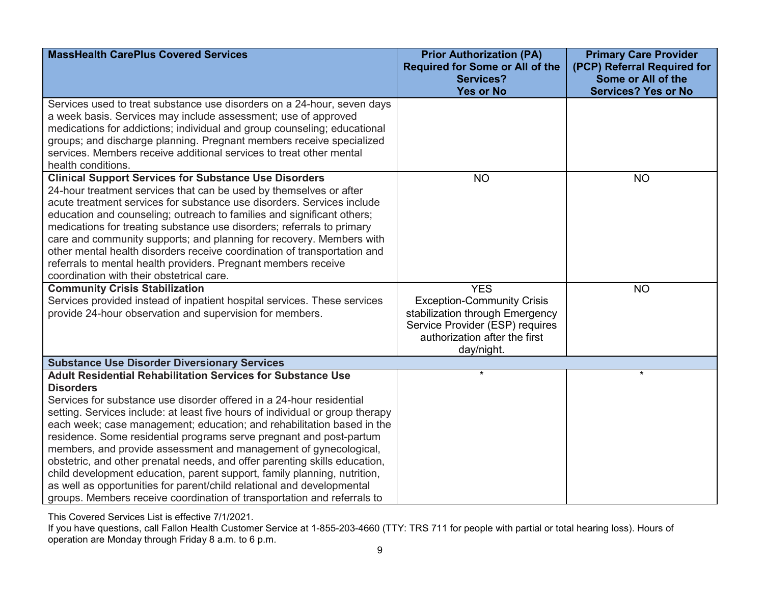| <b>MassHealth CarePlus Covered Services</b>                                                                                                                                                                                                                                                                                                                                                                                                                                                                                                                                                                                                                                                                                                                                         | <b>Prior Authorization (PA)</b><br><b>Required for Some or All of the</b><br><b>Services?</b>                                                                        | <b>Primary Care Provider</b><br>(PCP) Referral Required for<br>Some or All of the |
|-------------------------------------------------------------------------------------------------------------------------------------------------------------------------------------------------------------------------------------------------------------------------------------------------------------------------------------------------------------------------------------------------------------------------------------------------------------------------------------------------------------------------------------------------------------------------------------------------------------------------------------------------------------------------------------------------------------------------------------------------------------------------------------|----------------------------------------------------------------------------------------------------------------------------------------------------------------------|-----------------------------------------------------------------------------------|
|                                                                                                                                                                                                                                                                                                                                                                                                                                                                                                                                                                                                                                                                                                                                                                                     | <b>Yes or No</b>                                                                                                                                                     | <b>Services? Yes or No</b>                                                        |
| Services used to treat substance use disorders on a 24-hour, seven days<br>a week basis. Services may include assessment; use of approved<br>medications for addictions; individual and group counseling; educational<br>groups; and discharge planning. Pregnant members receive specialized<br>services. Members receive additional services to treat other mental<br>health conditions.                                                                                                                                                                                                                                                                                                                                                                                          |                                                                                                                                                                      |                                                                                   |
| <b>Clinical Support Services for Substance Use Disorders</b><br>24-hour treatment services that can be used by themselves or after<br>acute treatment services for substance use disorders. Services include<br>education and counseling; outreach to families and significant others;<br>medications for treating substance use disorders; referrals to primary<br>care and community supports; and planning for recovery. Members with<br>other mental health disorders receive coordination of transportation and<br>referrals to mental health providers. Pregnant members receive<br>coordination with their obstetrical care.                                                                                                                                                 | <b>NO</b>                                                                                                                                                            | <b>NO</b>                                                                         |
| <b>Community Crisis Stabilization</b><br>Services provided instead of inpatient hospital services. These services<br>provide 24-hour observation and supervision for members.                                                                                                                                                                                                                                                                                                                                                                                                                                                                                                                                                                                                       | <b>YES</b><br><b>Exception-Community Crisis</b><br>stabilization through Emergency<br>Service Provider (ESP) requires<br>authorization after the first<br>day/night. | <b>NO</b>                                                                         |
| <b>Substance Use Disorder Diversionary Services</b>                                                                                                                                                                                                                                                                                                                                                                                                                                                                                                                                                                                                                                                                                                                                 |                                                                                                                                                                      |                                                                                   |
| <b>Adult Residential Rehabilitation Services for Substance Use</b><br><b>Disorders</b><br>Services for substance use disorder offered in a 24-hour residential<br>setting. Services include: at least five hours of individual or group therapy<br>each week; case management; education; and rehabilitation based in the<br>residence. Some residential programs serve pregnant and post-partum<br>members, and provide assessment and management of gynecological,<br>obstetric, and other prenatal needs, and offer parenting skills education,<br>child development education, parent support, family planning, nutrition,<br>as well as opportunities for parent/child relational and developmental<br>groups. Members receive coordination of transportation and referrals to | $\star$                                                                                                                                                              | $\star$                                                                           |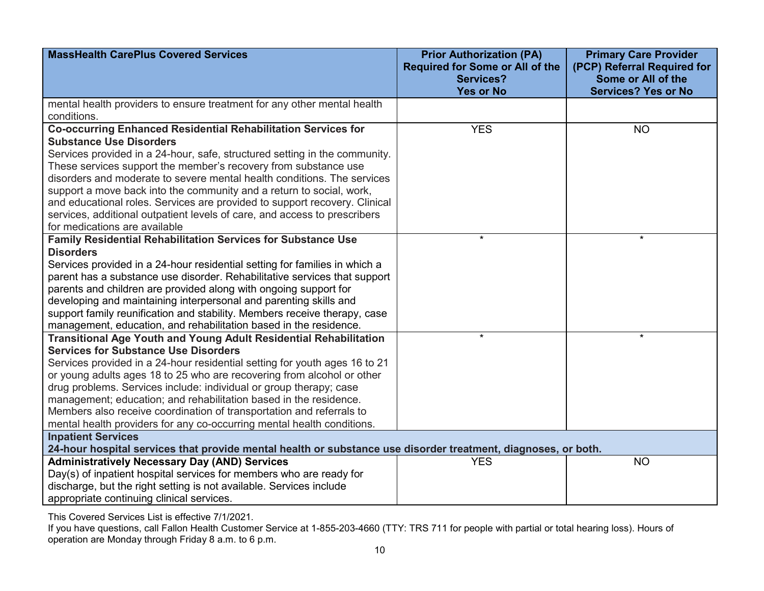| <b>MassHealth CarePlus Covered Services</b>                                                                                                   | <b>Prior Authorization (PA)</b><br><b>Required for Some or All of the</b> | <b>Primary Care Provider</b><br>(PCP) Referral Required for |
|-----------------------------------------------------------------------------------------------------------------------------------------------|---------------------------------------------------------------------------|-------------------------------------------------------------|
|                                                                                                                                               | <b>Services?</b><br><b>Yes or No</b>                                      | Some or All of the<br><b>Services? Yes or No</b>            |
| mental health providers to ensure treatment for any other mental health                                                                       |                                                                           |                                                             |
| conditions.                                                                                                                                   |                                                                           |                                                             |
| <b>Co-occurring Enhanced Residential Rehabilitation Services for</b>                                                                          | <b>YES</b>                                                                | <b>NO</b>                                                   |
| <b>Substance Use Disorders</b>                                                                                                                |                                                                           |                                                             |
| Services provided in a 24-hour, safe, structured setting in the community.                                                                    |                                                                           |                                                             |
| These services support the member's recovery from substance use                                                                               |                                                                           |                                                             |
| disorders and moderate to severe mental health conditions. The services                                                                       |                                                                           |                                                             |
| support a move back into the community and a return to social, work,                                                                          |                                                                           |                                                             |
| and educational roles. Services are provided to support recovery. Clinical                                                                    |                                                                           |                                                             |
| services, additional outpatient levels of care, and access to prescribers                                                                     |                                                                           |                                                             |
| for medications are available                                                                                                                 | $\star$                                                                   | $\star$                                                     |
| Family Residential Rehabilitation Services for Substance Use                                                                                  |                                                                           |                                                             |
| <b>Disorders</b>                                                                                                                              |                                                                           |                                                             |
| Services provided in a 24-hour residential setting for families in which a                                                                    |                                                                           |                                                             |
| parent has a substance use disorder. Rehabilitative services that support                                                                     |                                                                           |                                                             |
| parents and children are provided along with ongoing support for                                                                              |                                                                           |                                                             |
| developing and maintaining interpersonal and parenting skills and                                                                             |                                                                           |                                                             |
| support family reunification and stability. Members receive therapy, case                                                                     |                                                                           |                                                             |
| management, education, and rehabilitation based in the residence.<br><b>Transitional Age Youth and Young Adult Residential Rehabilitation</b> | $\star$                                                                   | $\star$                                                     |
| <b>Services for Substance Use Disorders</b>                                                                                                   |                                                                           |                                                             |
| Services provided in a 24-hour residential setting for youth ages 16 to 21                                                                    |                                                                           |                                                             |
| or young adults ages 18 to 25 who are recovering from alcohol or other                                                                        |                                                                           |                                                             |
| drug problems. Services include: individual or group therapy; case                                                                            |                                                                           |                                                             |
| management; education; and rehabilitation based in the residence.                                                                             |                                                                           |                                                             |
| Members also receive coordination of transportation and referrals to                                                                          |                                                                           |                                                             |
| mental health providers for any co-occurring mental health conditions.                                                                        |                                                                           |                                                             |
| <b>Inpatient Services</b>                                                                                                                     |                                                                           |                                                             |
| 24-hour hospital services that provide mental health or substance use disorder treatment, diagnoses, or both.                                 |                                                                           |                                                             |
| <b>Administratively Necessary Day (AND) Services</b>                                                                                          | <b>YES</b>                                                                | <b>NO</b>                                                   |
| Day(s) of inpatient hospital services for members who are ready for                                                                           |                                                                           |                                                             |
| discharge, but the right setting is not available. Services include                                                                           |                                                                           |                                                             |
| appropriate continuing clinical services.                                                                                                     |                                                                           |                                                             |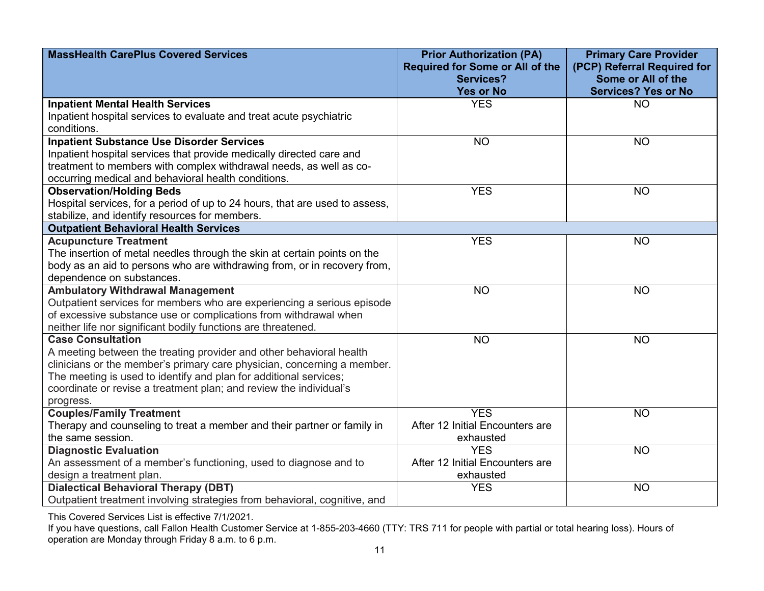| <b>MassHealth CarePlus Covered Services</b>                                 | <b>Prior Authorization (PA)</b><br><b>Required for Some or All of the</b> | <b>Primary Care Provider</b><br>(PCP) Referral Required for |
|-----------------------------------------------------------------------------|---------------------------------------------------------------------------|-------------------------------------------------------------|
|                                                                             | Services?<br><b>Yes or No</b>                                             | Some or All of the<br><b>Services? Yes or No</b>            |
| <b>Inpatient Mental Health Services</b>                                     | <b>YES</b>                                                                | <b>NO</b>                                                   |
| Inpatient hospital services to evaluate and treat acute psychiatric         |                                                                           |                                                             |
| conditions.                                                                 |                                                                           |                                                             |
| <b>Inpatient Substance Use Disorder Services</b>                            | <b>NO</b>                                                                 | <b>NO</b>                                                   |
| Inpatient hospital services that provide medically directed care and        |                                                                           |                                                             |
| treatment to members with complex withdrawal needs, as well as co-          |                                                                           |                                                             |
| occurring medical and behavioral health conditions.                         |                                                                           |                                                             |
| <b>Observation/Holding Beds</b>                                             | <b>YES</b>                                                                | <b>NO</b>                                                   |
| Hospital services, for a period of up to 24 hours, that are used to assess, |                                                                           |                                                             |
| stabilize, and identify resources for members.                              |                                                                           |                                                             |
| <b>Outpatient Behavioral Health Services</b>                                |                                                                           |                                                             |
| <b>Acupuncture Treatment</b>                                                | <b>YES</b>                                                                | <b>NO</b>                                                   |
| The insertion of metal needles through the skin at certain points on the    |                                                                           |                                                             |
| body as an aid to persons who are withdrawing from, or in recovery from,    |                                                                           |                                                             |
| dependence on substances.                                                   |                                                                           |                                                             |
| <b>Ambulatory Withdrawal Management</b>                                     | <b>NO</b>                                                                 | <b>NO</b>                                                   |
| Outpatient services for members who are experiencing a serious episode      |                                                                           |                                                             |
| of excessive substance use or complications from withdrawal when            |                                                                           |                                                             |
| neither life nor significant bodily functions are threatened.               |                                                                           |                                                             |
| <b>Case Consultation</b>                                                    | <b>NO</b>                                                                 | <b>NO</b>                                                   |
| A meeting between the treating provider and other behavioral health         |                                                                           |                                                             |
| clinicians or the member's primary care physician, concerning a member.     |                                                                           |                                                             |
| The meeting is used to identify and plan for additional services;           |                                                                           |                                                             |
| coordinate or revise a treatment plan; and review the individual's          |                                                                           |                                                             |
| progress.                                                                   |                                                                           |                                                             |
| <b>Couples/Family Treatment</b>                                             | <b>YES</b>                                                                | <b>NO</b>                                                   |
| Therapy and counseling to treat a member and their partner or family in     | After 12 Initial Encounters are                                           |                                                             |
| the same session.                                                           | exhausted                                                                 |                                                             |
| <b>Diagnostic Evaluation</b>                                                | <b>YES</b>                                                                | <b>NO</b>                                                   |
| An assessment of a member's functioning, used to diagnose and to            | After 12 Initial Encounters are                                           |                                                             |
| design a treatment plan.                                                    | exhausted                                                                 |                                                             |
| <b>Dialectical Behavioral Therapy (DBT)</b>                                 | <b>YES</b>                                                                | <b>NO</b>                                                   |
| Outpatient treatment involving strategies from behavioral, cognitive, and   |                                                                           |                                                             |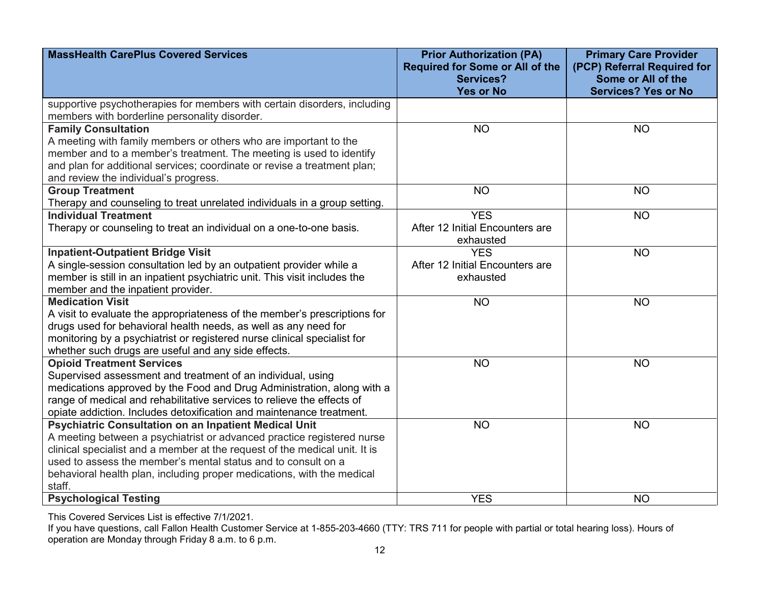| <b>MassHealth CarePlus Covered Services</b>                                                                                                                                                                                                                                                               | <b>Prior Authorization (PA)</b><br><b>Required for Some or All of the</b><br><b>Services?</b><br><b>Yes or No</b> | <b>Primary Care Provider</b><br>(PCP) Referral Required for<br>Some or All of the<br><b>Services? Yes or No</b> |
|-----------------------------------------------------------------------------------------------------------------------------------------------------------------------------------------------------------------------------------------------------------------------------------------------------------|-------------------------------------------------------------------------------------------------------------------|-----------------------------------------------------------------------------------------------------------------|
| supportive psychotherapies for members with certain disorders, including<br>members with borderline personality disorder.                                                                                                                                                                                 |                                                                                                                   |                                                                                                                 |
| <b>Family Consultation</b><br>A meeting with family members or others who are important to the<br>member and to a member's treatment. The meeting is used to identify<br>and plan for additional services; coordinate or revise a treatment plan;<br>and review the individual's progress.                | <b>NO</b>                                                                                                         | <b>NO</b>                                                                                                       |
| <b>Group Treatment</b><br>Therapy and counseling to treat unrelated individuals in a group setting.                                                                                                                                                                                                       | <b>NO</b>                                                                                                         | <b>NO</b>                                                                                                       |
| <b>Individual Treatment</b><br>Therapy or counseling to treat an individual on a one-to-one basis.                                                                                                                                                                                                        | <b>YES</b><br>After 12 Initial Encounters are<br>exhausted                                                        | <b>NO</b>                                                                                                       |
| <b>Inpatient-Outpatient Bridge Visit</b>                                                                                                                                                                                                                                                                  | <b>YES</b>                                                                                                        | <b>NO</b>                                                                                                       |
| A single-session consultation led by an outpatient provider while a                                                                                                                                                                                                                                       | After 12 Initial Encounters are                                                                                   |                                                                                                                 |
| member is still in an inpatient psychiatric unit. This visit includes the<br>member and the inpatient provider.                                                                                                                                                                                           | exhausted                                                                                                         |                                                                                                                 |
| <b>Medication Visit</b>                                                                                                                                                                                                                                                                                   | <b>NO</b>                                                                                                         | <b>NO</b>                                                                                                       |
| A visit to evaluate the appropriateness of the member's prescriptions for<br>drugs used for behavioral health needs, as well as any need for<br>monitoring by a psychiatrist or registered nurse clinical specialist for<br>whether such drugs are useful and any side effects.                           |                                                                                                                   |                                                                                                                 |
| <b>Opioid Treatment Services</b>                                                                                                                                                                                                                                                                          | <b>NO</b>                                                                                                         | <b>NO</b>                                                                                                       |
| Supervised assessment and treatment of an individual, using<br>medications approved by the Food and Drug Administration, along with a<br>range of medical and rehabilitative services to relieve the effects of<br>opiate addiction. Includes detoxification and maintenance treatment.                   |                                                                                                                   |                                                                                                                 |
| <b>Psychiatric Consultation on an Inpatient Medical Unit</b>                                                                                                                                                                                                                                              | <b>NO</b>                                                                                                         | <b>NO</b>                                                                                                       |
| A meeting between a psychiatrist or advanced practice registered nurse<br>clinical specialist and a member at the request of the medical unit. It is<br>used to assess the member's mental status and to consult on a<br>behavioral health plan, including proper medications, with the medical<br>staff. |                                                                                                                   |                                                                                                                 |
| <b>Psychological Testing</b>                                                                                                                                                                                                                                                                              | <b>YES</b>                                                                                                        | <b>NO</b>                                                                                                       |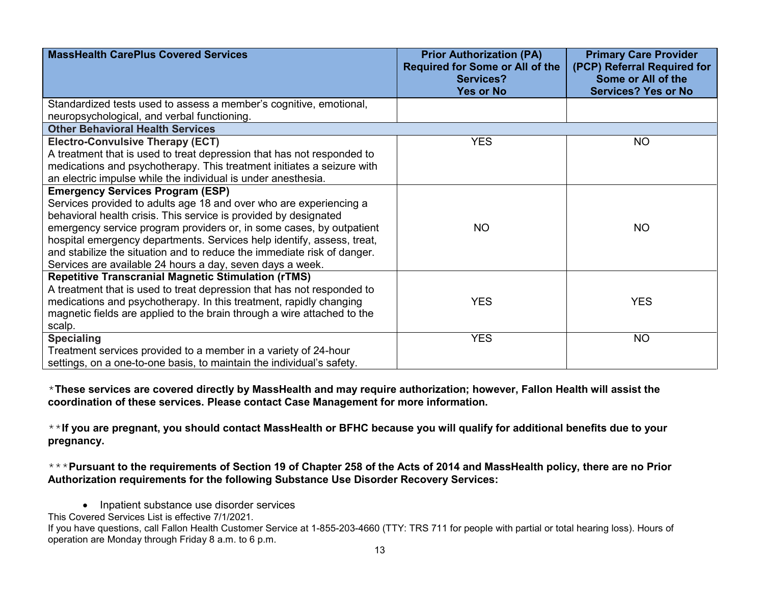| <b>MassHealth CarePlus Covered Services</b>                             | <b>Prior Authorization (PA)</b><br><b>Required for Some or All of the</b><br>Services?<br><b>Yes or No</b> | <b>Primary Care Provider</b><br>(PCP) Referral Required for<br>Some or All of the<br><b>Services? Yes or No</b> |
|-------------------------------------------------------------------------|------------------------------------------------------------------------------------------------------------|-----------------------------------------------------------------------------------------------------------------|
| Standardized tests used to assess a member's cognitive, emotional,      |                                                                                                            |                                                                                                                 |
| neuropsychological, and verbal functioning.                             |                                                                                                            |                                                                                                                 |
| <b>Other Behavioral Health Services</b>                                 |                                                                                                            |                                                                                                                 |
| <b>Electro-Convulsive Therapy (ECT)</b>                                 | <b>YES</b>                                                                                                 | <b>NO</b>                                                                                                       |
| A treatment that is used to treat depression that has not responded to  |                                                                                                            |                                                                                                                 |
| medications and psychotherapy. This treatment initiates a seizure with  |                                                                                                            |                                                                                                                 |
| an electric impulse while the individual is under anesthesia.           |                                                                                                            |                                                                                                                 |
| <b>Emergency Services Program (ESP)</b>                                 |                                                                                                            |                                                                                                                 |
| Services provided to adults age 18 and over who are experiencing a      |                                                                                                            |                                                                                                                 |
| behavioral health crisis. This service is provided by designated        |                                                                                                            |                                                                                                                 |
| emergency service program providers or, in some cases, by outpatient    | <b>NO</b>                                                                                                  | NO                                                                                                              |
| hospital emergency departments. Services help identify, assess, treat,  |                                                                                                            |                                                                                                                 |
| and stabilize the situation and to reduce the immediate risk of danger. |                                                                                                            |                                                                                                                 |
| Services are available 24 hours a day, seven days a week.               |                                                                                                            |                                                                                                                 |
| <b>Repetitive Transcranial Magnetic Stimulation (rTMS)</b>              |                                                                                                            |                                                                                                                 |
| A treatment that is used to treat depression that has not responded to  |                                                                                                            |                                                                                                                 |
| medications and psychotherapy. In this treatment, rapidly changing      | <b>YES</b>                                                                                                 | <b>YES</b>                                                                                                      |
| magnetic fields are applied to the brain through a wire attached to the |                                                                                                            |                                                                                                                 |
| scalp.                                                                  |                                                                                                            |                                                                                                                 |
| <b>Specialing</b>                                                       | <b>YES</b>                                                                                                 | <b>NO</b>                                                                                                       |
| Treatment services provided to a member in a variety of 24-hour         |                                                                                                            |                                                                                                                 |
| settings, on a one-to-one basis, to maintain the individual's safety.   |                                                                                                            |                                                                                                                 |

\***These services are covered directly by MassHealth and may require authorization; however, Fallon Health will assist the coordination of these services. Please contact Case Management for more information.**

\*\***If you are pregnant, you should contact MassHealth or BFHC because you will qualify for additional benefits due to your pregnancy.**

\*\*\***Pursuant to the requirements of Section 19 of Chapter 258 of the Acts of 2014 and MassHealth policy, there are no Prior Authorization requirements for the following Substance Use Disorder Recovery Services:**

• Inpatient substance use disorder services

This Covered Services List is effective 7/1/2021.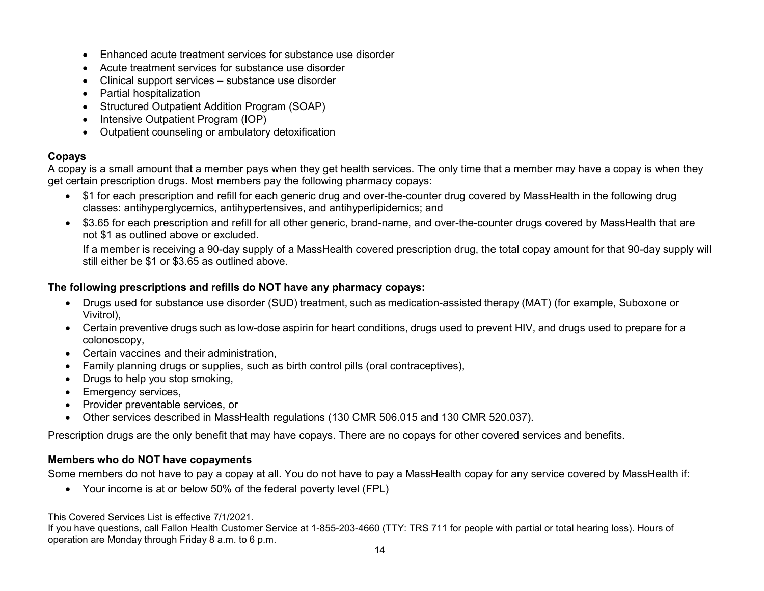- Enhanced acute treatment services for substance use disorder
- Acute treatment services for substance use disorder
- Clinical support services substance use disorder
- Partial hospitalization
- Structured Outpatient Addition Program (SOAP)
- Intensive Outpatient Program (IOP)
- Outpatient counseling or ambulatory detoxification

# **Copays**

A copay is a small amount that a member pays when they get health services. The only time that a member may have a copay is when they get certain prescription drugs. Most members pay the following pharmacy copays:

- \$1 for each prescription and refill for each generic drug and over-the-counter drug covered by MassHealth in the following drug classes: antihyperglycemics, antihypertensives, and antihyperlipidemics; and
- \$3.65 for each prescription and refill for all other generic, brand-name, and over-the-counter drugs covered by MassHealth that are not \$1 as outlined above or excluded.

If a member is receiving a 90-day supply of a MassHealth covered prescription drug, the total copay amount for that 90-day supply will still either be \$1 or \$3.65 as outlined above.

### **The following prescriptions and refills do NOT have any pharmacy copays:**

- Drugs used for substance use disorder (SUD) treatment, such as medication-assisted therapy (MAT) (for example, Suboxone or Vivitrol),
- Certain preventive drugs such as low-dose aspirin for heart conditions, drugs used to prevent HIV, and drugs used to prepare for a colonoscopy,
- Certain vaccines and their administration,
- Family planning drugs or supplies, such as birth control pills (oral contraceptives),
- Drugs to help you stop smoking,
- Emergency services,
- Provider preventable services, or
- Other services described in MassHealth regulations (130 CMR 506.015 and 130 CMR 520.037).

Prescription drugs are the only benefit that may have copays. There are no copays for other covered services and benefits.

### **Members who do NOT have copayments**

Some members do not have to pay a copay at all. You do not have to pay a MassHealth copay for any service covered by MassHealth if:

• Your income is at or below 50% of the federal poverty level (FPL)

This Covered Services List is effective 7/1/2021.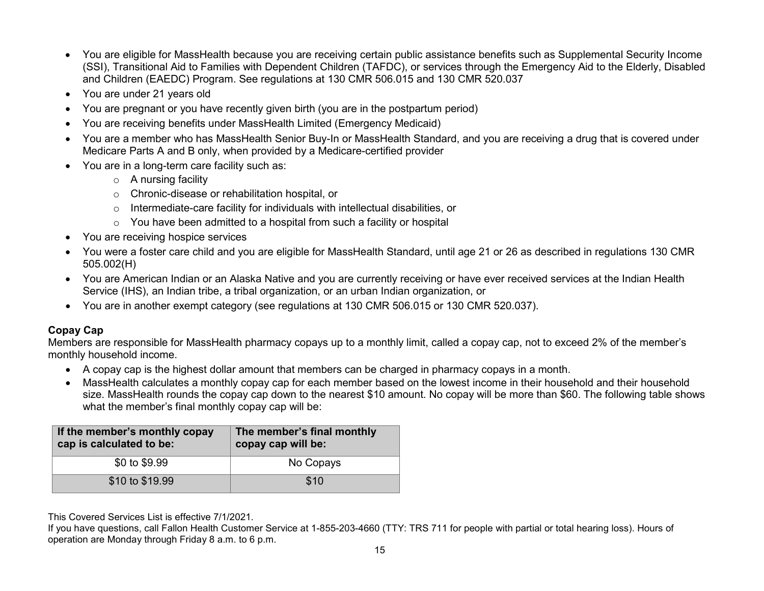- You are eligible for MassHealth because you are receiving certain public assistance benefits such as Supplemental Security Income (SSI), Transitional Aid to Families with Dependent Children (TAFDC), or services through the Emergency Aid to the Elderly, Disabled and Children (EAEDC) Program. See regulations at 130 CMR 506.015 and 130 CMR 520.037
- You are under 21 years old
- You are pregnant or you have recently given birth (you are in the postpartum period)
- You are receiving benefits under MassHealth Limited (Emergency Medicaid)
- You are a member who has MassHealth Senior Buy-In or MassHealth Standard, and you are receiving a drug that is covered under Medicare Parts A and B only, when provided by a Medicare-certified provider
- You are in a long-term care facility such as:
	- o A nursing facility
	- o Chronic-disease or rehabilitation hospital, or
	- o Intermediate-care facility for individuals with intellectual disabilities, or
	- o You have been admitted to a hospital from such a facility or hospital
- You are receiving hospice services
- You were a foster care child and you are eligible for MassHealth Standard, until age 21 or 26 as described in regulations 130 CMR 505.002(H)
- You are American Indian or an Alaska Native and you are currently receiving or have ever received services at the Indian Health Service (IHS), an Indian tribe, a tribal organization, or an urban Indian organization, or
- You are in another exempt category (see regulations at 130 CMR 506.015 or 130 CMR 520.037).

# **Copay Cap**

Members are responsible for MassHealth pharmacy copays up to a monthly limit, called a copay cap, not to exceed 2% of the member's monthly household income.

- A copay cap is the highest dollar amount that members can be charged in pharmacy copays in a month.
- MassHealth calculates a monthly copay cap for each member based on the lowest income in their household and their household size. MassHealth rounds the copay cap down to the nearest \$10 amount. No copay will be more than \$60. The following table shows what the member's final monthly copay cap will be:

| If the member's monthly copay<br>cap is calculated to be: | The member's final monthly<br>copay cap will be: |  |
|-----------------------------------------------------------|--------------------------------------------------|--|
| \$0 to \$9.99                                             | No Copays                                        |  |
| \$10 to \$19.99                                           | \$10                                             |  |

This Covered Services List is effective 7/1/2021.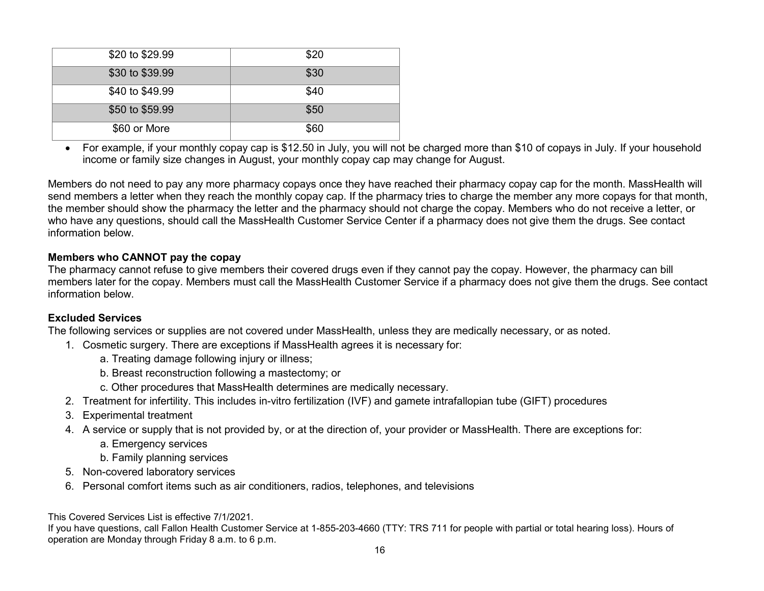| \$20 to \$29.99 | \$20 |
|-----------------|------|
| \$30 to \$39.99 | \$30 |
| \$40 to \$49.99 | \$40 |
| \$50 to \$59.99 | \$50 |
| \$60 or More    | \$60 |

• For example, if your monthly copay cap is \$12.50 in July, you will not be charged more than \$10 of copays in July. If your household income or family size changes in August, your monthly copay cap may change for August.

Members do not need to pay any more pharmacy copays once they have reached their pharmacy copay cap for the month. MassHealth will send members a letter when they reach the monthly copay cap. If the pharmacy tries to charge the member any more copays for that month, the member should show the pharmacy the letter and the pharmacy should not charge the copay. Members who do not receive a letter, or who have any questions, should call the MassHealth Customer Service Center if a pharmacy does not give them the drugs. See contact information below.

### **Members who CANNOT pay the copay**

The pharmacy cannot refuse to give members their covered drugs even if they cannot pay the copay. However, the pharmacy can bill members later for the copay. Members must call the MassHealth Customer Service if a pharmacy does not give them the drugs. See contact information below.

#### **Excluded Services**

The following services or supplies are not covered under MassHealth, unless they are medically necessary, or as noted.

- 1. Cosmetic surgery. There are exceptions if MassHealth agrees it is necessary for:
	- a. Treating damage following injury or illness;
	- b. Breast reconstruction following a mastectomy; or
	- c. Other procedures that MassHealth determines are medically necessary.
- 2. Treatment for infertility. This includes in-vitro fertilization (IVF) and gamete intrafallopian tube (GIFT) procedures
- 3. Experimental treatment
- 4. A service or supply that is not provided by, or at the direction of, your provider or MassHealth. There are exceptions for:
	- a. Emergency services
	- b. Family planning services
- 5. Non-covered laboratory services
- 6. Personal comfort items such as air conditioners, radios, telephones, and televisions

This Covered Services List is effective 7/1/2021.